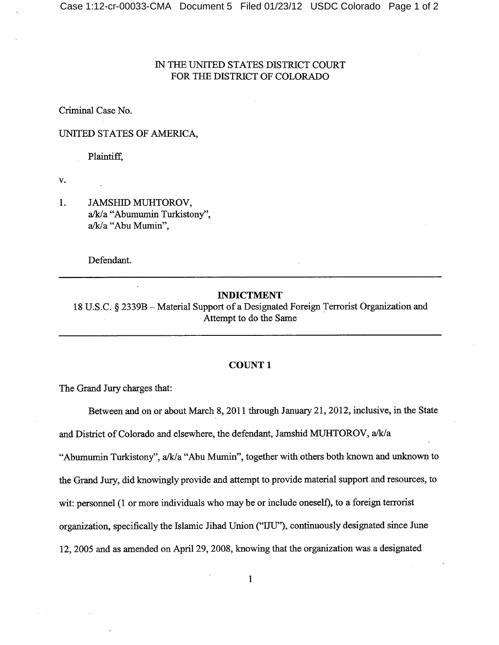## IN THE UNITED STATES DISTRICT COURT FOR THE DISTRICT OF COLORADO

Criminal Case No.

#### UNITED STATES OF AMERICA,

Plaintiff,

V.

1. **JAMSHID MUHTOROV,** a/k/a "Abumumin Turkistony", a/k/a "Abu Mumin",

Defendant.

#### **INDICTMENT**

18 U.S.C. § 2339B - Material Support of a Designated Foreign Terrorist Organization and Attempt to do the Same

#### **COUNT1**

The Grand Jury charges that:

Between and on or about March 8, 2011 through January 21, 2012, inclusive, in the State and District of Colorado and elsewhere, the defendant, Jamshid MUHTOROV, a/k/a "Abumumin Turkistony", a/k/a "Abu Mumin", together with others both known and unknown to the Grand Jury, did knowingly provide and attempt to provide material support and resources, to wit: personnel (1 or more individuals who may be or include oneself), to a foreign terrorist organization, specifically the Islamic Jihad Union ("IJU"), continuously designated since June 12, 2005 and as amended on April 29, 2008, knowing that the organization was a designated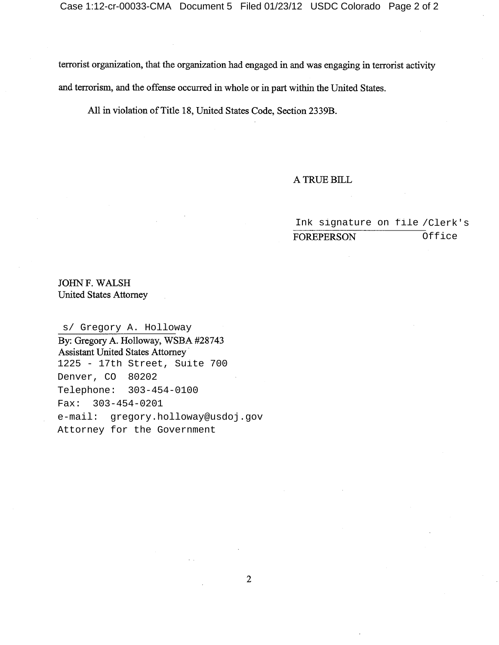terrorist organization, that the organization had engaged in and was engaging in terrorist activity and terrorism, and the offense occurred in whole or in part within the United States.

All in violation of Title 18, United States Code, Section 2339B.

### A TRUE BILL

Ink signature on file /Clerk's Office**FOREPERSON** 

JOHN F. WALSH **United States Attorney** 

s/ Gregory A. Holloway By: Gregory A. Holloway, WSBA #28743 **Assistant United States Attorney** 1225 - 17th Street, Suite 700 Denver, CO 80202 Telephone: 303-454-0100 Fax: 303-454-0201 e-mail: gregory.holloway@usdoj.gov Attorney for the Government